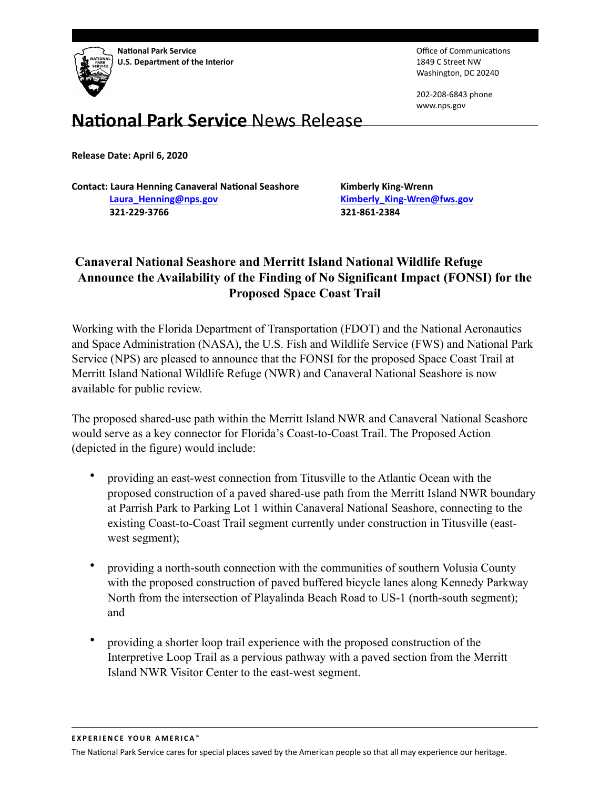

Office of Communications 1849 C Street NW Washington, DC 20240

202-208-6843 phone www.nps.gov

## **National Park Service News Release**

**Release Date: April 6, 2020** 

**Contact: Laura Henning Canaveral National Seashore Kimberly King-Wrenn [Laura\\_Henning@nps.gov](mailto:Laura_Henning@nps.gov) [Kimberly\\_King-Wren@fws.gov](mailto:Kimberly_King-Wren@fws.gov) 321-229-3766 321-861-2384** 

## **Canaveral National Seashore and Merritt Island National Wildlife Refuge Announce the Availability of the Finding of No Significant Impact (FONSI) for the Proposed Space Coast Trail**

Working with the Florida Department of Transportation (FDOT) and the National Aeronautics and Space Administration (NASA), the U.S. Fish and Wildlife Service (FWS) and National Park Service (NPS) are pleased to announce that the FONSI for the proposed Space Coast Trail at Merritt Island National Wildlife Refuge (NWR) and Canaveral National Seashore is now available for public review.

The proposed shared-use path within the Merritt Island NWR and Canaveral National Seashore would serve as a key connector for Florida's Coast-to-Coast Trail. The Proposed Action (depicted in the figure) would include:

- providing an east-west connection from Titusville to the Atlantic Ocean with the proposed construction of a paved shared-use path from the Merritt Island NWR boundary at Parrish Park to Parking Lot 1 within Canaveral National Seashore, connecting to the existing Coast-to-Coast Trail segment currently under construction in Titusville (eastwest segment);
- providing a north-south connection with the communities of southern Volusia County with the proposed construction of paved buffered bicycle lanes along Kennedy Parkway North from the intersection of Playalinda Beach Road to US-1 (north-south segment); and
- providing a shorter loop trail experience with the proposed construction of the Interpretive Loop Trail as a pervious pathway with a paved section from the Merritt Island NWR Visitor Center to the east-west segment.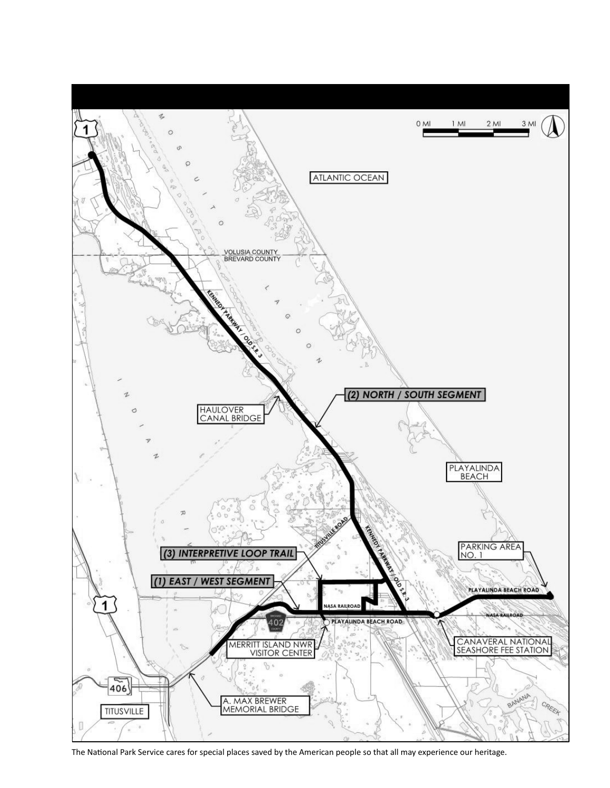

The National Park Service cares for special places saved by the American people so that all may experience our heritage.